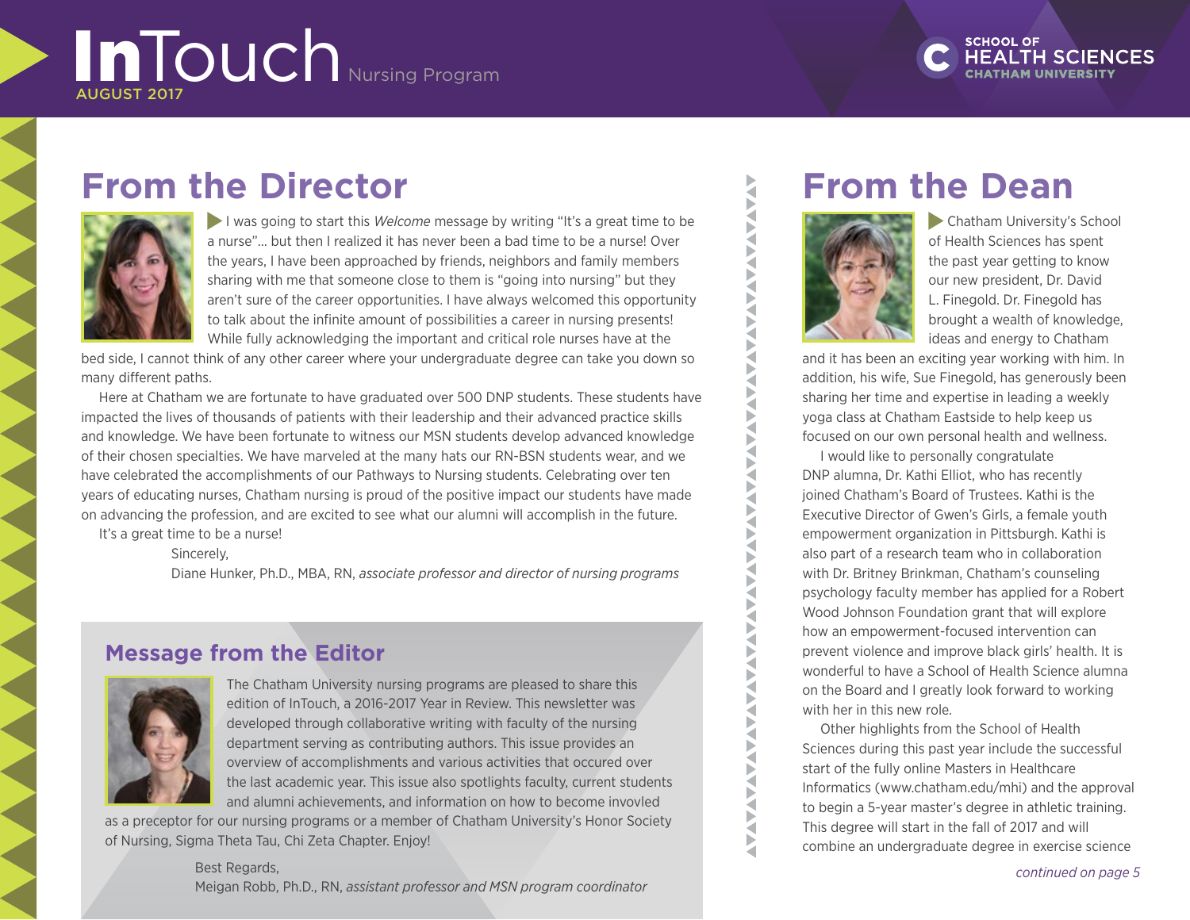# InTouch Nursing Program

# **From the Director**



I was going to start this *Welcome* message by writing "It's a great time to be a nurse"… but then I realized it has never been a bad time to be a nurse! Over the years, I have been approached by friends, neighbors and family members sharing with me that someone close to them is "going into nursing" but they aren't sure of the career opportunities. I have always welcomed this opportunity to talk about the infinite amount of possibilities a career in nursing presents! While fully acknowledging the important and critical role nurses have at the

bed side, I cannot think of any other career where your undergraduate degree can take you down so many different paths.

Here at Chatham we are fortunate to have graduated over 500 DNP students. These students have impacted the lives of thousands of patients with their leadership and their advanced practice skills and knowledge. We have been fortunate to witness our MSN students develop advanced knowledge of their chosen specialties. We have marveled at the many hats our RN-BSN students wear, and we have celebrated the accomplishments of our Pathways to Nursing students. Celebrating over ten years of educating nurses, Chatham nursing is proud of the positive impact our students have made on advancing the profession, and are excited to see what our alumni will accomplish in the future.

It's a great time to be a nurse!

Sincerely,

Diane Hunker, Ph.D., MBA, RN, *associate professor and director of nursing programs*

# **Message from the Editor**



The Chatham University nursing programs are pleased to share this edition of InTouch, a 2016-2017 Year in Review. This newsletter was developed through collaborative writing with faculty of the nursing department serving as contributing authors. This issue provides an overview of accomplishments and various activities that occured over the last academic year. This issue also spotlights faculty, current students and alumni achievements, and information on how to become invovled

as a preceptor for our nursing programs or a member of Chatham University's Honor Society of Nursing, Sigma Theta Tau, Chi Zeta Chapter. Enjoy!

#### Best Regards,

Meigan Robb, Ph.D., RN, *assistant professor and MSN program coordinator*

# **From the Dean**



N b ₹ Þ

₹ Б ₹ Þ ¥

₹ Þ ₹ Þ Q b ₹ Б b ∢ ₹ b b

₹

₹ Þ Š ₹ Б ₹ F ₹

Chatham University's School of Health Sciences has spent the past year getting to know our new president, Dr. David L. Finegold. Dr. Finegold has brought a wealth of knowledge, ideas and energy to Chatham

and it has been an exciting year working with him. In addition, his wife, Sue Finegold, has generously been sharing her time and expertise in leading a weekly yoga class at Chatham Eastside to help keep us focused on our own personal health and wellness.

I would like to personally congratulate DNP alumna, Dr. Kathi Elliot, who has recently joined Chatham's Board of Trustees. Kathi is the Executive Director of Gwen's Girls, a female youth empowerment organization in Pittsburgh. Kathi is also part of a research team who in collaboration with Dr. Britney Brinkman, Chatham's counseling psychology faculty member has applied for a Robert Wood Johnson Foundation grant that will explore how an empowerment-focused intervention can prevent violence and improve black girls' health. It is wonderful to have a School of Health Science alumna on the Board and I greatly look forward to working with her in this new role.

Other highlights from the School of Health Sciences during this past year include the successful start of the fully online Masters in Healthcare Informatics (www.chatham.edu/mhi) and the approval to begin a 5-year master's degree in athletic training. This degree will start in the fall of 2017 and will combine an undergraduate degree in exercise science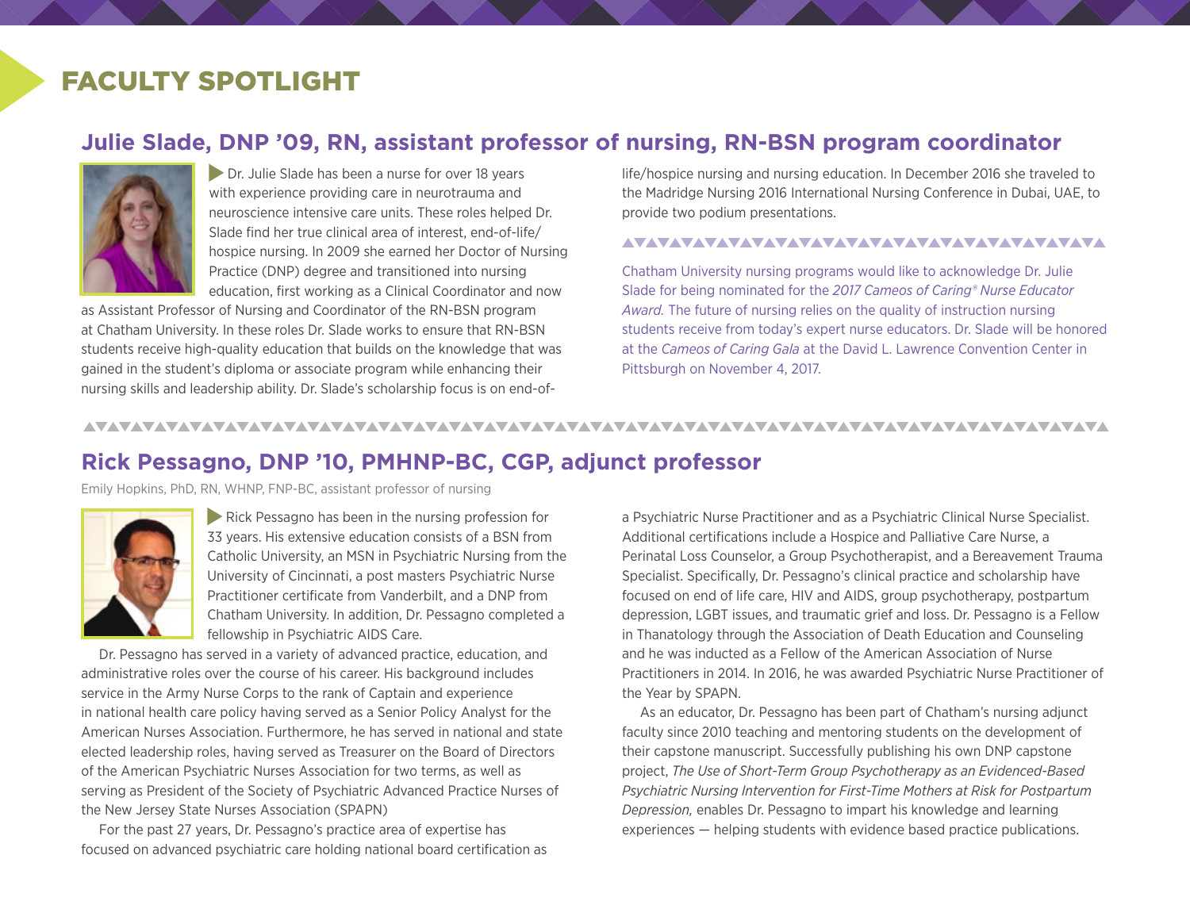# FACULTY SPOTLIGHT

### **Julie Slade, DNP '09, RN, assistant professor of nursing, RN-BSN program coordinator**



Dr. Julie Slade has been a nurse for over 18 years with experience providing care in neurotrauma and neuroscience intensive care units. These roles helped Dr. Slade find her true clinical area of interest, end-of-life/ hospice nursing. In 2009 she earned her Doctor of Nursing Practice (DNP) degree and transitioned into nursing education, first working as a Clinical Coordinator and now

as Assistant Professor of Nursing and Coordinator of the RN-BSN program at Chatham University. In these roles Dr. Slade works to ensure that RN-BSN students receive high-quality education that builds on the knowledge that was gained in the student's diploma or associate program while enhancing their nursing skills and leadership ability. Dr. Slade's scholarship focus is on end-oflife/hospice nursing and nursing education. In December 2016 she traveled to the Madridge Nursing 2016 International Nursing Conference in Dubai, UAE, to provide two podium presentations.

#### 

Chatham University nursing programs would like to acknowledge Dr. Julie Slade for being nominated for the *2017 Cameos of Caring® Nurse Educator Award.* The future of nursing relies on the quality of instruction nursing students receive from today's expert nurse educators. Dr. Slade will be honored at the *Cameos of Caring Gala* at the David L. Lawrence Convention Center in Pittsburgh on November 4, 2017.

<u>VAVAVAVAVAVAVAVAVAVAVAVAVAVA</u>

# **Rick Pessagno, DNP '10, PMHNP-BC, CGP, adjunct professor**

Emily Hopkins, PhD, RN, WHNP, FNP-BC, assistant professor of nursing

AVAVAVAVAVAVAVAVAVAVAVAVAVAVAVAVAV



Rick Pessagno has been in the nursing profession for 33 years. His extensive education consists of a BSN from Catholic University, an MSN in Psychiatric Nursing from the University of Cincinnati, a post masters Psychiatric Nurse Practitioner certificate from Vanderbilt, and a DNP from Chatham University. In addition, Dr. Pessagno completed a fellowship in Psychiatric AIDS Care.

Dr. Pessagno has served in a variety of advanced practice, education, and administrative roles over the course of his career. His background includes service in the Army Nurse Corps to the rank of Captain and experience in national health care policy having served as a Senior Policy Analyst for the American Nurses Association. Furthermore, he has served in national and state elected leadership roles, having served as Treasurer on the Board of Directors of the American Psychiatric Nurses Association for two terms, as well as serving as President of the Society of Psychiatric Advanced Practice Nurses of the New Jersey State Nurses Association (SPAPN)

For the past 27 years, Dr. Pessagno's practice area of expertise has focused on advanced psychiatric care holding national board certification as

a Psychiatric Nurse Practitioner and as a Psychiatric Clinical Nurse Specialist. Additional certifications include a Hospice and Palliative Care Nurse, a Perinatal Loss Counselor, a Group Psychotherapist, and a Bereavement Trauma Specialist. Specifically, Dr. Pessagno's clinical practice and scholarship have focused on end of life care, HIV and AIDS, group psychotherapy, postpartum depression, LGBT issues, and traumatic grief and loss. Dr. Pessagno is a Fellow in Thanatology through the Association of Death Education and Counseling and he was inducted as a Fellow of the American Association of Nurse Practitioners in 2014. In 2016, he was awarded Psychiatric Nurse Practitioner of the Year by SPAPN.

As an educator, Dr. Pessagno has been part of Chatham's nursing adjunct faculty since 2010 teaching and mentoring students on the development of their capstone manuscript. Successfully publishing his own DNP capstone project, *The Use of Short-Term Group Psychotherapy as an Evidenced-Based Psychiatric Nursing Intervention for First-Time Mothers at Risk for Postpartum Depression,* enables Dr. Pessagno to impart his knowledge and learning experiences — helping students with evidence based practice publications.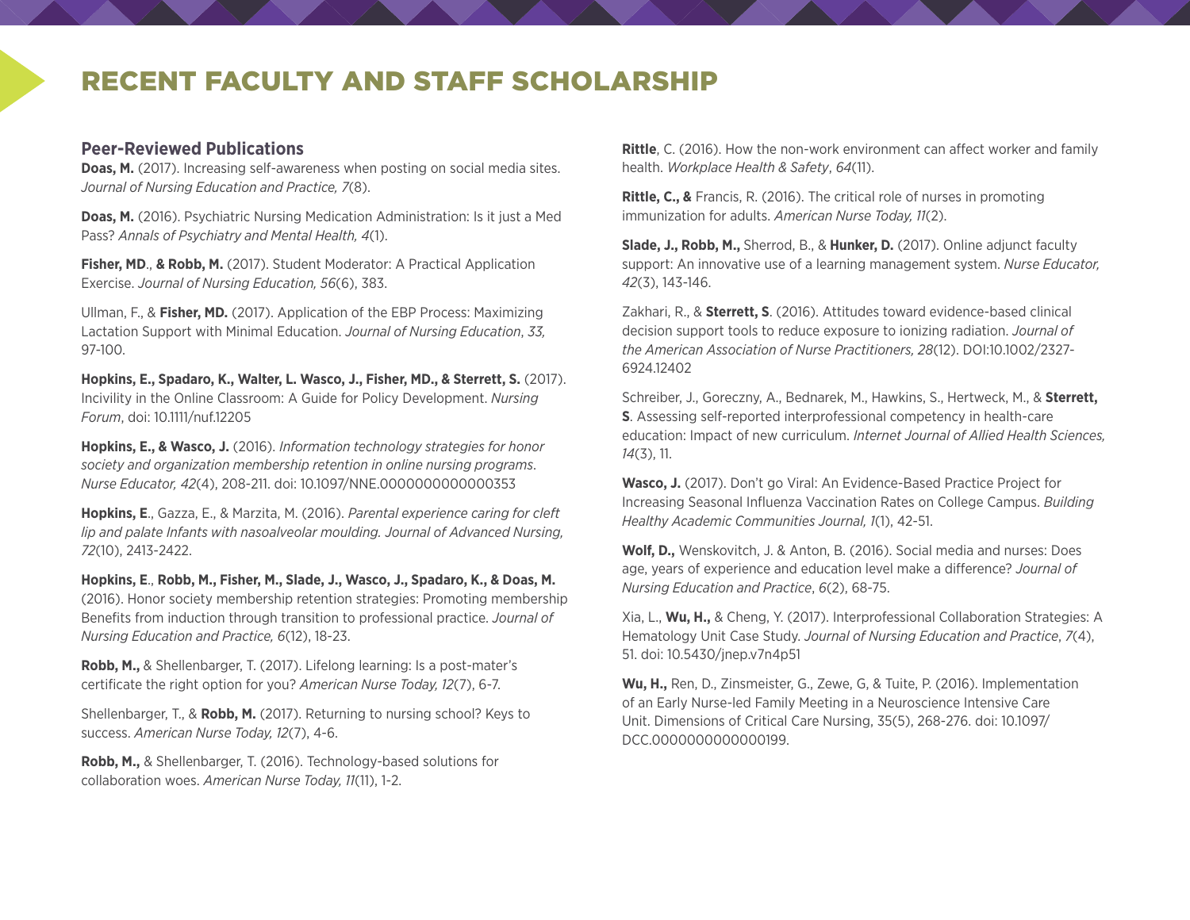# RECENT FACULTY AND STAFF SCHOLARSHIP

#### **Peer-Reviewed Publications**

**Doas, M.** (2017). Increasing self-awareness when posting on social media sites. *Journal of Nursing Education and Practice, 7*(8).

**Doas, M.** (2016). Psychiatric Nursing Medication Administration: Is it just a Med Pass? *Annals of Psychiatry and Mental Health, 4*(1).

**Fisher, MD**., **& Robb, M.** (2017). Student Moderator: A Practical Application Exercise. *Journal of Nursing Education, 56*(6), 383.

Ullman, F., & **Fisher, MD.** (2017). Application of the EBP Process: Maximizing Lactation Support with Minimal Education. *Journal of Nursing Education*, *33,* 97-100.

**Hopkins, E., Spadaro, K., Walter, L. Wasco, J., Fisher, MD., & Sterrett, S.** (2017). Incivility in the Online Classroom: A Guide for Policy Development. *Nursing Forum*, doi: 10.1111/nuf.12205

**Hopkins, E., & Wasco, J.** (2016). *Information technology strategies for honor society and organization membership retention in online nursing programs*. *Nurse Educator, 42*(4), 208-211. doi: 10.1097/NNE.0000000000000353

**Hopkins, E**., Gazza, E., & Marzita, M. (2016). *Parental experience caring for cleft lip and palate Infants with nasoalveolar moulding. Journal of Advanced Nursing, 72*(10), 2413-2422.

**Hopkins, E**., **Robb, M., Fisher, M., Slade, J., Wasco, J., Spadaro, K., & Doas, M.** (2016). Honor society membership retention strategies: Promoting membership Benefits from induction through transition to professional practice. *Journal of Nursing Education and Practice, 6*(12), 18-23.

**Robb, M.,** & Shellenbarger, T. (2017). Lifelong learning: Is a post-mater's certificate the right option for you? *American Nurse Today, 12*(7), 6-7.

Shellenbarger, T., & **Robb, M.** (2017). Returning to nursing school? Keys to success. *American Nurse Today, 12*(7), 4-6.

**Robb, M.,** & Shellenbarger, T. (2016). Technology-based solutions for collaboration woes. *American Nurse Today, 11*(11), 1-2.

**Rittle**, C. (2016). How the non-work environment can affect worker and family health. *Workplace Health & Safety*, *64*(11).

**Rittle, C., &** Francis, R. (2016). The critical role of nurses in promoting immunization for adults. *American Nurse Today, 11*(2).

**Slade, J., Robb, M.,** Sherrod, B., & **Hunker, D.** (2017). Online adjunct faculty support: An innovative use of a learning management system. *Nurse Educator, 42*(3), 143-146.

Zakhari, R., & **Sterrett, S**. (2016). Attitudes toward evidence-based clinical decision support tools to reduce exposure to ionizing radiation. *Journal of the American Association of Nurse Practitioners, 28*(12). DOI:10.1002/2327- 6924.12402

Schreiber, J., Goreczny, A., Bednarek, M., Hawkins, S., Hertweck, M., & **Sterrett, S**. Assessing self-reported interprofessional competency in health-care education: Impact of new curriculum. *Internet Journal of Allied Health Sciences, 14*(3), 11.

**Wasco, J.** (2017). Don't go Viral: An Evidence-Based Practice Project for Increasing Seasonal Influenza Vaccination Rates on College Campus. *Building Healthy Academic Communities Journal, 1*(1), 42-51.

**Wolf, D.,** Wenskovitch, J. & Anton, B. (2016). Social media and nurses: Does age, years of experience and education level make a difference? *Journal of Nursing Education and Practice*, *6*(2), 68-75.

Xia, L., **Wu, H.,** & Cheng, Y. (2017). Interprofessional Collaboration Strategies: A Hematology Unit Case Study. *Journal of Nursing Education and Practice*, *7*(4), 51. doi: 10.5430/jnep.v7n4p51

**Wu, H.,** Ren, D., Zinsmeister, G., Zewe, G, & Tuite, P. (2016). Implementation of an Early Nurse-led Family Meeting in a Neuroscience Intensive Care Unit. Dimensions of Critical Care Nursing, 35(5), 268-276. doi: 10.1097/ DCC.0000000000000199.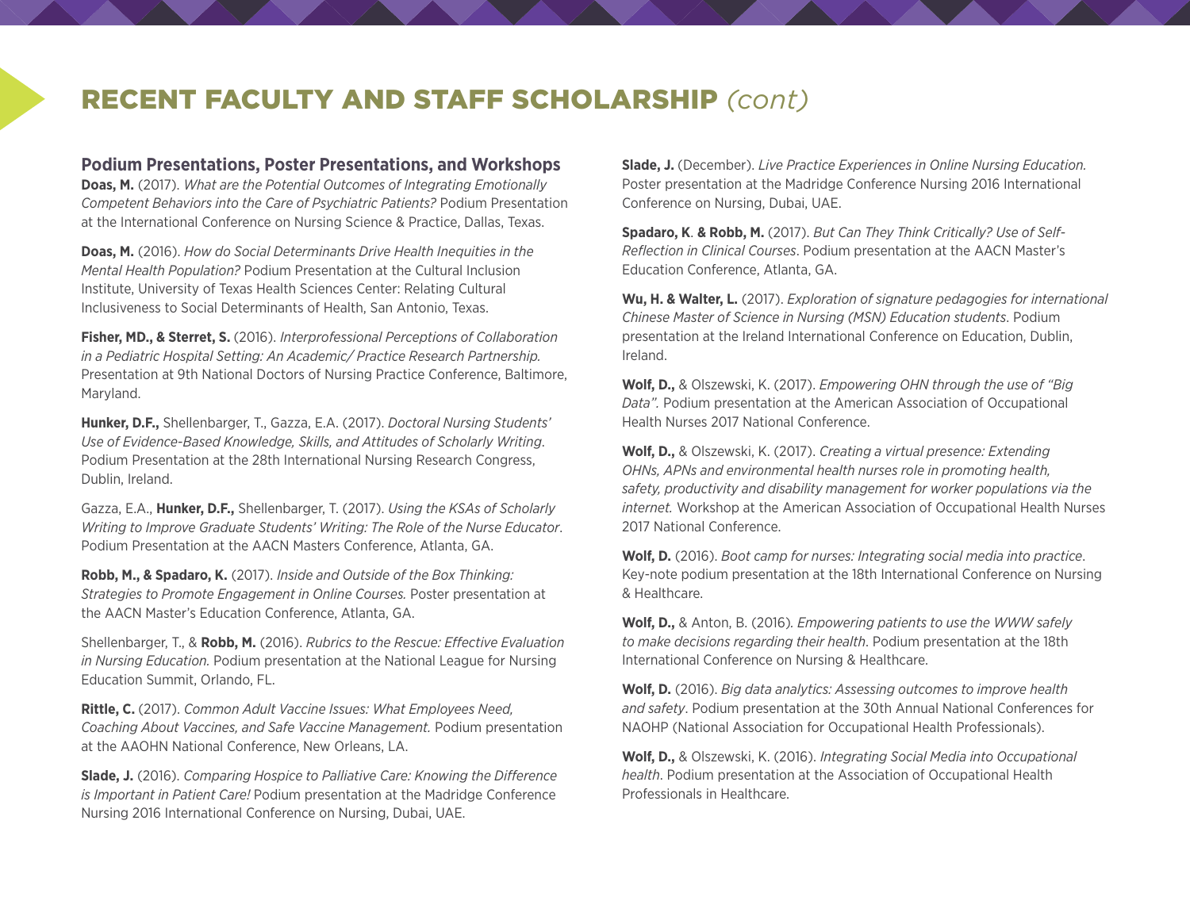# RECENT FACULTY AND STAFF SCHOLARSHIP *(cont)*

**Podium Presentations, Poster Presentations, and Workshops**

**Doas, M.** (2017). *What are the Potential Outcomes of Integrating Emotionally Competent Behaviors into the Care of Psychiatric Patients?* Podium Presentation at the International Conference on Nursing Science & Practice, Dallas, Texas.

**Doas, M.** (2016). *How do Social Determinants Drive Health Inequities in the Mental Health Population?* Podium Presentation at the Cultural Inclusion Institute, University of Texas Health Sciences Center: Relating Cultural Inclusiveness to Social Determinants of Health, San Antonio, Texas.

**Fisher, MD., & Sterret, S.** (2016). *Interprofessional Perceptions of Collaboration in a Pediatric Hospital Setting: An Academic/ Practice Research Partnership.*  Presentation at 9th National Doctors of Nursing Practice Conference, Baltimore, Maryland.

**Hunker, D.F.,** Shellenbarger, T., Gazza, E.A. (2017). *Doctoral Nursing Students' Use of Evidence-Based Knowledge, Skills, and Attitudes of Scholarly Writing*. Podium Presentation at the 28th International Nursing Research Congress, Dublin, Ireland.

Gazza, E.A., **Hunker, D.F.,** Shellenbarger, T. (2017). *Using the KSAs of Scholarly Writing to Improve Graduate Students' Writing: The Role of the Nurse Educator*. Podium Presentation at the AACN Masters Conference, Atlanta, GA.

**Robb, M., & Spadaro, K.** (2017). *Inside and Outside of the Box Thinking: Strategies to Promote Engagement in Online Courses.* Poster presentation at the AACN Master's Education Conference, Atlanta, GA.

Shellenbarger, T., & **Robb, M.** (2016). *Rubrics to the Rescue: Effective Evaluation in Nursing Education.* Podium presentation at the National League for Nursing Education Summit, Orlando, FL.

**Rittle, C.** (2017). *Common Adult Vaccine Issues: What Employees Need, Coaching About Vaccines, and Safe Vaccine Management.* Podium presentation at the AAOHN National Conference, New Orleans, LA.

**Slade, J.** (2016). *Comparing Hospice to Palliative Care: Knowing the Difference is Important in Patient Care!* Podium presentation at the Madridge Conference Nursing 2016 International Conference on Nursing, Dubai, UAE.

**Slade, J.** (December). *Live Practice Experiences in Online Nursing Education.* Poster presentation at the Madridge Conference Nursing 2016 International Conference on Nursing, Dubai, UAE.

**Spadaro, K**. **& Robb, M.** (2017). *But Can They Think Critically? Use of Self-Reflection in Clinical Courses*. Podium presentation at the AACN Master's Education Conference, Atlanta, GA.

**Wu, H. & Walter, L.** (2017). *Exploration of signature pedagogies for international Chinese Master of Science in Nursing (MSN) Education students*. Podium presentation at the Ireland International Conference on Education, Dublin, Ireland.

**Wolf, D.,** & Olszewski, K. (2017). *Empowering OHN through the use of "Big Data".* Podium presentation at the American Association of Occupational Health Nurses 2017 National Conference.

**Wolf, D.,** & Olszewski, K. (2017). *Creating a virtual presence: Extending OHNs, APNs and environmental health nurses role in promoting health, safety, productivity and disability management for worker populations via the internet.* Workshop at the American Association of Occupational Health Nurses 2017 National Conference.

**Wolf, D.** (2016). *Boot camp for nurses: Integrating social media into practice*. Key-note podium presentation at the 18th International Conference on Nursing & Healthcare.

**Wolf, D.,** & Anton, B. (2016)*. Empowering patients to use the WWW safely to make decisions regarding their health*. Podium presentation at the 18th International Conference on Nursing & Healthcare.

**Wolf, D.** (2016). *Big data analytics: Assessing outcomes to improve health and safety*. Podium presentation at the 30th Annual National Conferences for NAOHP (National Association for Occupational Health Professionals).

**Wolf, D.,** & Olszewski, K. (2016). *Integrating Social Media into Occupational health*. Podium presentation at the Association of Occupational Health Professionals in Healthcare.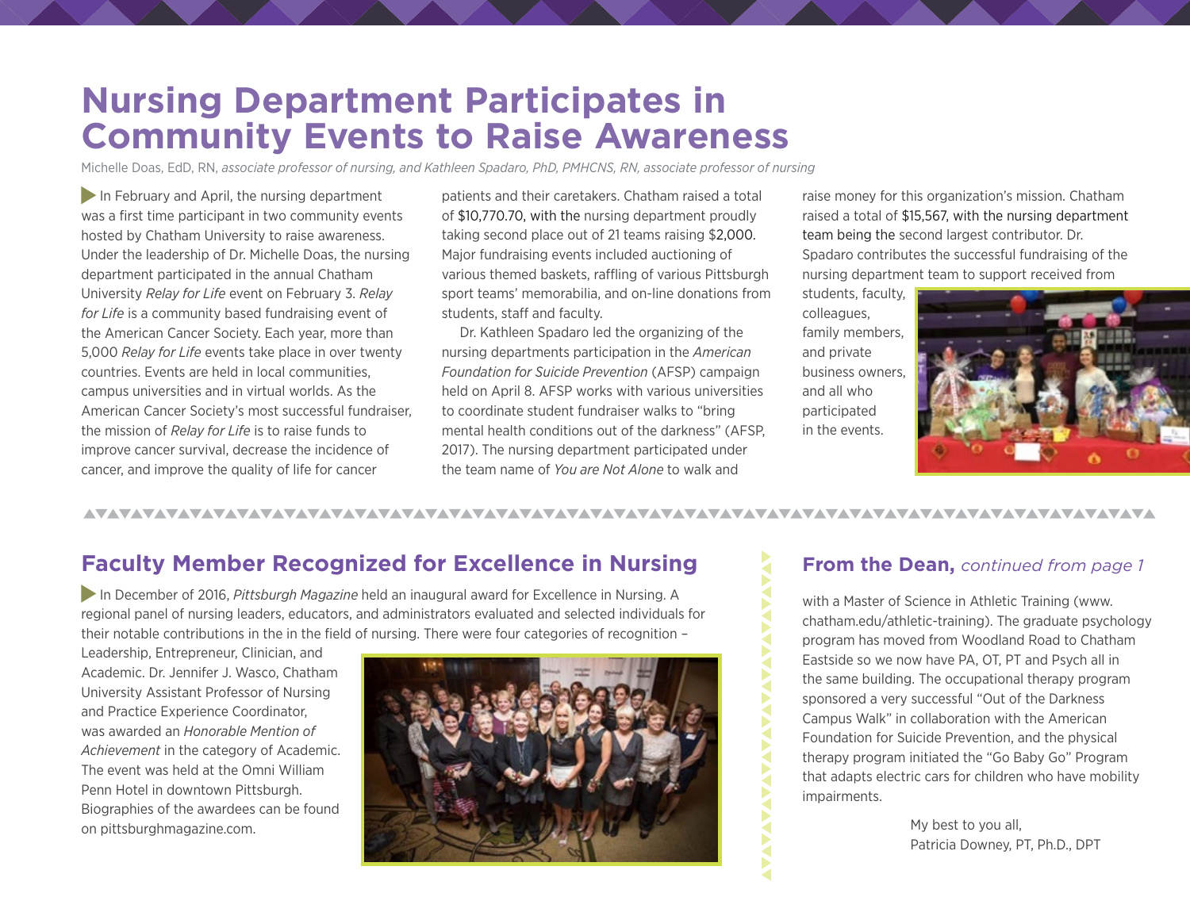# **Nursing Department Participates in Community Events to Raise Awareness**

Michelle Doas, EdD, RN, *associate professor of nursing, and Kathleen Spadaro, PhD, PMHCNS, RN, associate professor of nursing*

In February and April, the nursing department was a first time participant in two community events hosted by Chatham University to raise awareness. Under the leadership of Dr. Michelle Doas, the nursing department participated in the annual Chatham University *Relay for Life* event on February 3. *Relay for Life* is a community based fundraising event of the American Cancer Society. Each year, more than 5,000 *Relay for Life* events take place in over twenty countries. Events are held in local communities, campus universities and in virtual worlds. As the American Cancer Society's most successful fundraiser, the mission of *Relay for Life* is to raise funds to improve cancer survival, decrease the incidence of cancer, and improve the quality of life for cancer

patients and their caretakers. Chatham raised a total of \$10,770.70, with the nursing department proudly taking second place out of 21 teams raising \$2,000. Major fundraising events included auctioning of various themed baskets, raffling of various Pittsburgh sport teams' memorabilia, and on-line donations from students, staff and faculty.

Dr. Kathleen Spadaro led the organizing of the nursing departments participation in the *American Foundation for Suicide Prevention* (AFSP) campaign held on April 8. AFSP works with various universities to coordinate student fundraiser walks to "bring mental health conditions out of the darkness" (AFSP, 2017). The nursing department participated under the team name of *You are Not Alone* to walk and

raise money for this organization's mission. Chatham raised a total of \$15,567, with the nursing department team being the second largest contributor. Dr. Spadaro contributes the successful fundraising of the nursing department team to support received from

students, faculty, colleagues, family members, and private business owners, and all who participated in the events.



#### <u>VAVAVAVAVAVAVAVAVAVAVAVAVAVAVAVA</u>

# **Faculty Member Recognized for Excellence in Nursing**

 In December of 2016, *Pittsburgh Magazine* held an inaugural award for Excellence in Nursing. A regional panel of nursing leaders, educators, and administrators evaluated and selected individuals for their notable contributions in the in the field of nursing. There were four categories of recognition –

Leadership, Entrepreneur, Clinician, and Academic. Dr. Jennifer J. Wasco, Chatham University Assistant Professor of Nursing and Practice Experience Coordinator, was awarded an *Honorable Mention of Achievement* in the category of Academic. The event was held at the Omni William Penn Hotel in downtown Pittsburgh. Biographies of the awardees can be found on pittsburghmagazine.com.



### **From the Dean,** *continued from page 1*

with a Master of Science in Athletic Training (www. chatham.edu/athletic-training). The graduate psychology program has moved from Woodland Road to Chatham Eastside so we now have PA, OT, PT and Psych all in the same building. The occupational therapy program sponsored a very successful "Out of the Darkness Campus Walk" in collaboration with the American Foundation for Suicide Prevention, and the physical therapy program initiated the "Go Baby Go" Program that adapts electric cars for children who have mobility impairments.

> My best to you all, Patricia Downey, PT, Ph.D., DPT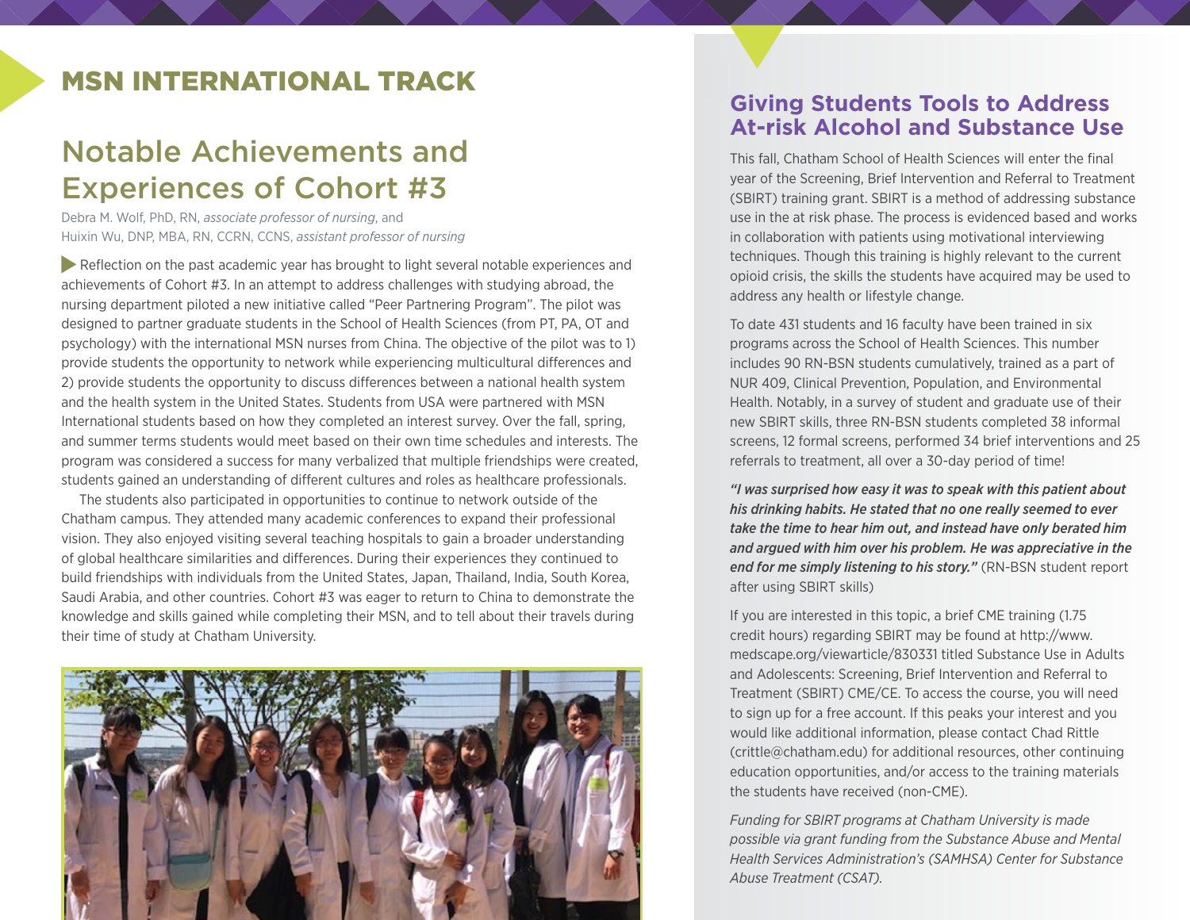# MSN INTERNATIONAL TRACK

# Notable Achievements and Experiences of Cohort #3

Debra M. Wolf, PhD, RN, *associate professor of nursing*, and Huixin Wu, DNP, MBA, RN, CCRN, CCNS, *assistant professor of nursing*

 Reflection on the past academic year has brought to light several notable experiences and achievements of Cohort #3. In an attempt to address challenges with studying abroad, the nursing department piloted a new initiative called "Peer Partnering Program". The pilot was designed to partner graduate students in the School of Health Sciences (from PT, PA, OT and psychology) with the international MSN nurses from China. The objective of the pilot was to 1) provide students the opportunity to network while experiencing multicultural differences and 2) provide students the opportunity to discuss differences between a national health system and the health system in the United States. Students from USA were partnered with MSN International students based on how they completed an interest survey. Over the fall, spring, and summer terms students would meet based on their own time schedules and interests. The program was considered a success for many verbalized that multiple friendships were created, students gained an understanding of different cultures and roles as healthcare professionals.

The students also participated in opportunities to continue to network outside of the Chatham campus. They attended many academic conferences to expand their professional vision. They also enjoyed visiting several teaching hospitals to gain a broader understanding of global healthcare similarities and differences. During their experiences they continued to build friendships with individuals from the United States, Japan, Thailand, India, South Korea, Saudi Arabia, and other countries. Cohort #3 was eager to return to China to demonstrate the knowledge and skills gained while completing their MSN, and to tell about their travels during their time of study at Chatham University.



### **Giving Students Tools to Address At-risk Alcohol and Substance Use**

This fall, Chatham School of Health Sciences will enter the final year of the Screening, Brief Intervention and Referral to Treatment (SBIRT) training grant. SBIRT is a method of addressing substance use in the at risk phase. The process is evidenced based and works in collaboration with patients using motivational interviewing techniques. Though this training is highly relevant to the current opioid crisis, the skills the students have acquired may be used to address any health or lifestyle change.

To date 431 students and 16 faculty have been trained in six programs across the School of Health Sciences. This number includes 90 RN-BSN students cumulatively, trained as a part of NUR 409, Clinical Prevention, Population, and Environmental Health. Notably, in a survey of student and graduate use of their new SBIRT skills, three RN-BSN students completed 38 informal screens, 12 formal screens, performed 34 brief interventions and 25 referrals to treatment, all over a 30-day period of time!

*"I was surprised how easy it was to speak with this patient about his drinking habits. He stated that no one really seemed to ever take the time to hear him out, and instead have only berated him and argued with him over his problem. He was appreciative in the end for me simply listening to his story."* (RN-BSN student report after using SBIRT skills)

If you are interested in this topic, a brief CME training (1.75 credit hours) regarding SBIRT may be found at http://www. medscape.org/viewarticle/830331 titled Substance Use in Adults and Adolescents: Screening, Brief Intervention and Referral to Treatment (SBIRT) CME/CE. To access the course, you will need to sign up for a free account. If this peaks your interest and you would like additional information, please contact Chad Rittle (crittle@chatham.edu) for additional resources, other continuing education opportunities, and/or access to the training materials the students have received (non-CME).

*Funding for SBIRT programs at Chatham University is made possible via grant funding from the Substance Abuse and Mental Health Services Administration's (SAMHSA) Center for Substance Abuse Treatment (CSAT).*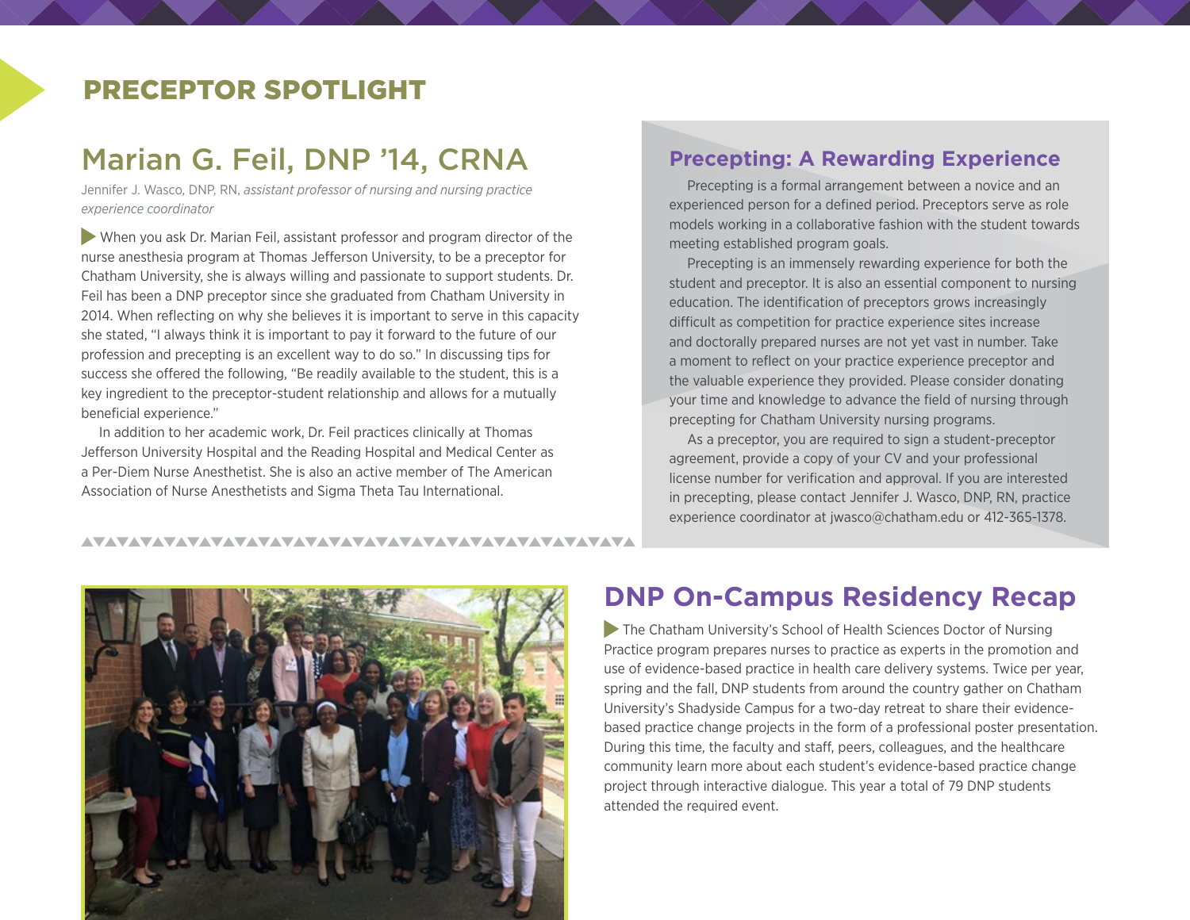# PRECEPTOR SPOTLIGHT

# Marian G. Feil, DNP '14, CRNA

Jennifer J. Wasco, DNP, RN, *assistant professor of nursing and nursing practice experience coordinator*

 When you ask Dr. Marian Feil, assistant professor and program director of the nurse anesthesia program at Thomas Jefferson University, to be a preceptor for Chatham University, she is always willing and passionate to support students. Dr. Feil has been a DNP preceptor since she graduated from Chatham University in 2014. When reflecting on why she believes it is important to serve in this capacity she stated, "I always think it is important to pay it forward to the future of our profession and precepting is an excellent way to do so." In discussing tips for success she offered the following, "Be readily available to the student, this is a key ingredient to the preceptor-student relationship and allows for a mutually beneficial experience."

In addition to her academic work, Dr. Feil practices clinically at Thomas Jefferson University Hospital and the Reading Hospital and Medical Center as a Per-Diem Nurse Anesthetist. She is also an active member of The American Association of Nurse Anesthetists and Sigma Theta Tau International.

#### **Precepting: A Rewarding Experience**

Precepting is a formal arrangement between a novice and an experienced person for a defined period. Preceptors serve as role models working in a collaborative fashion with the student towards meeting established program goals.

Precepting is an immensely rewarding experience for both the student and preceptor. It is also an essential component to nursing education. The identification of preceptors grows increasingly difficult as competition for practice experience sites increase and doctorally prepared nurses are not yet vast in number. Take a moment to reflect on your practice experience preceptor and the valuable experience they provided. Please consider donating your time and knowledge to advance the field of nursing through precepting for Chatham University nursing programs.

As a preceptor, you are required to sign a student-preceptor agreement, provide a copy of your CV and your professional license number for verification and approval. If you are interested in precepting, please contact Jennifer J. Wasco, DNP, RN, practice experience coordinator at [jwasco@chatham.edu](mailto:jwasco@chatham.edu) or 412-365-1378.



# **DNP On-Campus Residency Recap**

 The Chatham University's School of Health Sciences Doctor of Nursing Practice program prepares nurses to practice as experts in the promotion and use of evidence-based practice in health care delivery systems. Twice per year, spring and the fall, DNP students from around the country gather on Chatham University's Shadyside Campus for a two-day retreat to share their evidencebased practice change projects in the form of a professional poster presentation. During this time, the faculty and staff, peers, colleagues, and the healthcare community learn more about each student's evidence-based practice change project through interactive dialogue. This year a total of 79 DNP students attended the required event.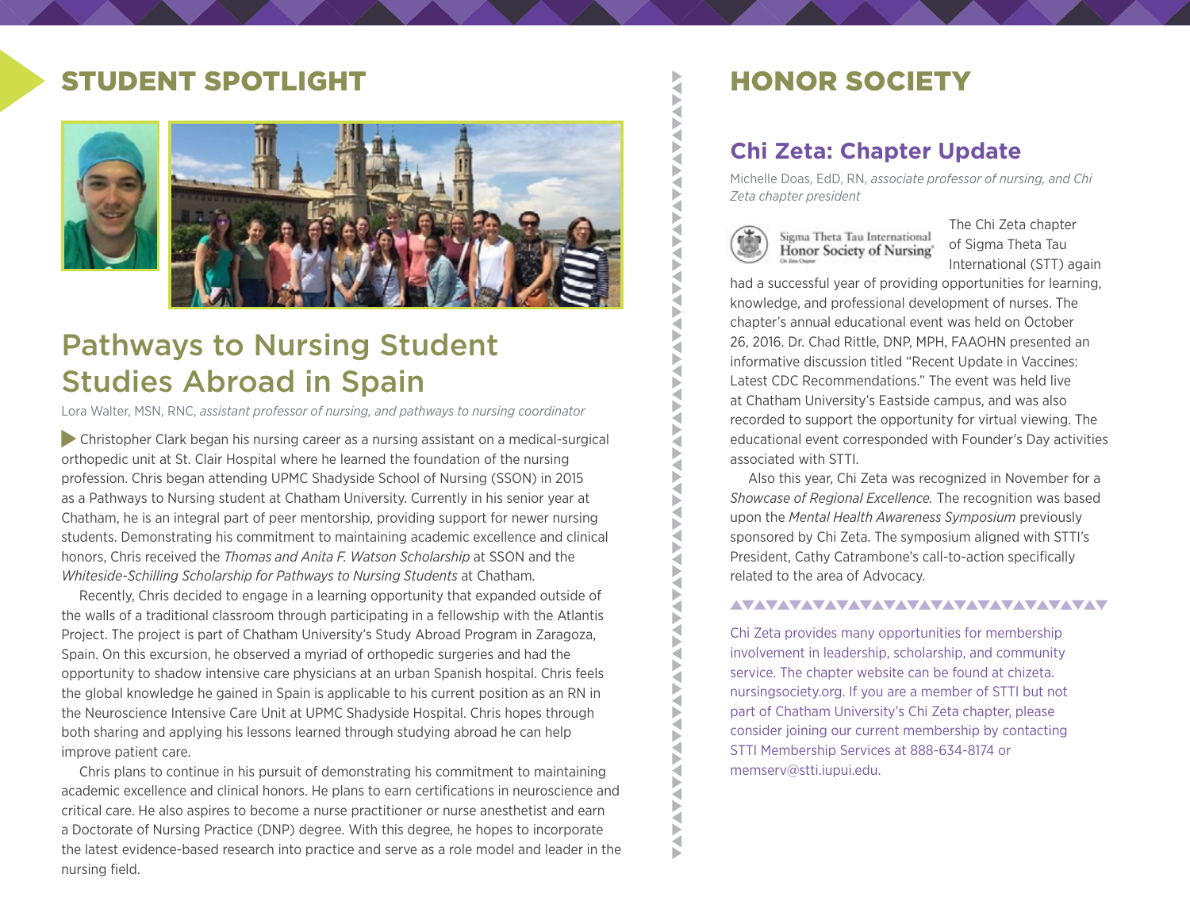# STUDENT SPOTLIGHT



# Pathways to Nursing Student Studies Abroad in Spain

Lora Walter, MSN, RNC, *assistant professor of nursing, and pathways to nursing coordinator*

 Christopher Clark began his nursing career as a nursing assistant on a medical-surgical orthopedic unit at St. Clair Hospital where he learned the foundation of the nursing profession. Chris began attending UPMC Shadyside School of Nursing (SSON) in 2015 as a Pathways to Nursing student at Chatham University. Currently in his senior year at Chatham, he is an integral part of peer mentorship, providing support for newer nursing students. Demonstrating his commitment to maintaining academic excellence and clinical honors, Chris received the *Thomas and Anita F. Watson Scholarship* at SSON and the *Whiteside-Schilling Scholarship for Pathways to Nursing Students at Chatham.* 

Recently, Chris decided to engage in a learning opportunity that expanded outside of the walls of a traditional classroom through participating in a fellowship with the Atlantis Project. The project is part of Chatham University's Study Abroad Program in Zaragoza, Spain. On this excursion, he observed a myriad of orthopedic surgeries and had the opportunity to shadow intensive care physicians at an urban Spanish hospital. Chris feels the global knowledge he gained in Spain is applicable to his current position as an RN in the Neuroscience Intensive Care Unit at UPMC Shadyside Hospital. Chris hopes through both sharing and applying his lessons learned through studying abroad he can help improve patient care.

Chris plans to continue in his pursuit of demonstrating his commitment to maintaining academic excellence and clinical honors. He plans to earn certifications in neuroscience and critical care. He also aspires to become a nurse practitioner or nurse anesthetist and earn a Doctorate of Nursing Practice (DNP) degree. With this degree, he hopes to incorporate the latest evidence-based research into practice and serve as a role model and leader in the nursing field.

# HONOR SOCIETY

### **Chi Zeta: Chapter Update**

Michelle Doas, EdD, RN, *associate professor of nursing, and Chi Zeta chapter president*



Z Б

**AVAILABLE** 

₹

**AVANTAVANTAVANTAVAN** 

S<br>S Ę Þ  $\tilde{\mathbf{X}}$ XAX Ž

**TATALA** 

₹ Þ ◀

**AVANTALE** 

**VANAVA** 

Ε ь

Sigma Theta Tau International Honor Society of Nursing' The Chi Zeta chapter of Sigma Theta Tau International (STT) again

had a successful year of providing opportunities for learning, knowledge, and professional development of nurses. The chapter's annual educational event was held on October 26, 2016. Dr. Chad Rittle, DNP, MPH, FAAOHN presented an informative discussion titled "Recent Update in Vaccines: Latest CDC Recommendations." The event was held live at Chatham University's Eastside campus, and was also recorded to support the opportunity for virtual viewing. The educational event corresponded with Founder's Day activities associated with STTI.

Also this year, Chi Zeta was recognized in November for a *Showcase of Regional Excellence.* The recognition was based upon the *Mental Health Awareness Symposium* previously sponsored by Chi Zeta. The symposium aligned with STTI's President, Cathy Catrambone's call-to-action specifically related to the area of Advocacy.

#### AVAVAVAVAVAVAVAVAVAVAVAVAVAVAVAV

Chi Zeta provides many opportunities for membership involvement in leadership, scholarship, and community service. The chapter website can be found at chizeta. nursingsociety.org. If you are a member of STTI but not part of Chatham University's Chi Zeta chapter, please consider joining our current membership by contacting STTI Membership Services at 888-634-8174 or memserv@stti.iupui.edu.